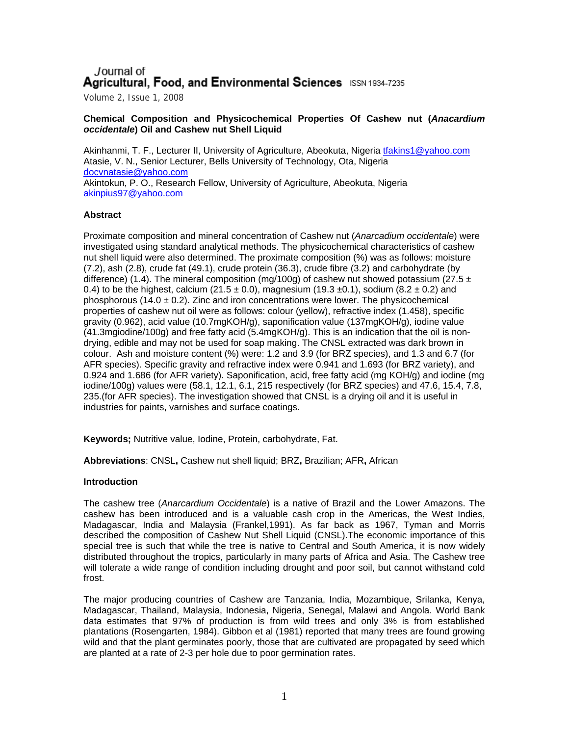# Journal of Agricultural, Food, and Environmental Sciences ISSN 1934-7235

Volume 2, Issue 1, 2008

## **Chemical Composition and Physicochemical Properties Of Cashew nut (***Anacardium occidentale***) Oil and Cashew nut Shell Liquid**

Akinhanmi, T. F., Lecturer II, University of Agriculture, Abeokuta, Nigeria [tfakins1@yahoo.com](mailto:tfakins1@yahoo.com) Atasie, V. N., Senior Lecturer, Bells University of Technology, Ota, Nigeria [docvnatasie@yahoo.com](mailto:docvnatasie@yahoo.com) Akintokun, P. O., Research Fellow, University of Agriculture, Abeokuta, Nigeria [akinpius97@yahoo.com](mailto:akinpius97@yahoo.com) 

## **Abstract**

Proximate composition and mineral concentration of Cashew nut (*Anarcadium occidentale*) were investigated using standard analytical methods. The physicochemical characteristics of cashew nut shell liquid were also determined. The proximate composition (%) was as follows: moisture (7.2), ash (2.8), crude fat (49.1), crude protein (36.3), crude fibre (3.2) and carbohydrate (by difference) (1.4). The mineral composition (mg/100g) of cashew nut showed potassium (27.5  $\pm$ 0.4) to be the highest, calcium (21.5  $\pm$  0.0), magnesium (19.3  $\pm$ 0.1), sodium (8.2  $\pm$  0.2) and phosphorous (14.0  $\pm$  0.2). Zinc and iron concentrations were lower. The physicochemical properties of cashew nut oil were as follows: colour (yellow), refractive index (1.458), specific gravity (0.962), acid value (10.7mgKOH/g), saponification value (137mgKOH/g), iodine value (41.3mgiodine/100g) and free fatty acid (5.4mgKOH/g). This is an indication that the oil is nondrying, edible and may not be used for soap making. The CNSL extracted was dark brown in colour. Ash and moisture content (%) were: 1.2 and 3.9 (for BRZ species), and 1.3 and 6.7 (for AFR species). Specific gravity and refractive index were 0.941 and 1.693 (for BRZ variety), and 0.924 and 1.686 (for AFR variety). Saponification, acid, free fatty acid (mg KOH/g) and iodine (mg iodine/100g) values were (58.1, 12.1, 6.1, 215 respectively (for BRZ species) and 47.6, 15.4, 7.8, 235.(for AFR species). The investigation showed that CNSL is a drying oil and it is useful in industries for paints, varnishes and surface coatings.

**Keywords;** Nutritive value, Iodine, Protein, carbohydrate, Fat.

**Abbreviations**: CNSL**,** Cashew nut shell liquid; BRZ**,** Brazilian; AFR**,** African

### **Introduction**

The cashew tree (*Anarcardium Occidentale*) is a native of Brazil and the Lower Amazons. The cashew has been introduced and is a valuable cash crop in the Americas, the West Indies, Madagascar, India and Malaysia (Frankel,1991). As far back as 1967, Tyman and Morris described the composition of Cashew Nut Shell Liquid (CNSL).The economic importance of this special tree is such that while the tree is native to Central and South America, it is now widely distributed throughout the tropics, particularly in many parts of Africa and Asia. The Cashew tree will tolerate a wide range of condition including drought and poor soil, but cannot withstand cold frost.

The major producing countries of Cashew are Tanzania, India, Mozambique, Srilanka, Kenya, Madagascar, Thailand, Malaysia, Indonesia, Nigeria, Senegal, Malawi and Angola. World Bank data estimates that 97% of production is from wild trees and only 3% is from established plantations (Rosengarten, 1984). Gibbon et al (1981) reported that many trees are found growing wild and that the plant germinates poorly, those that are cultivated are propagated by seed which are planted at a rate of 2-3 per hole due to poor germination rates.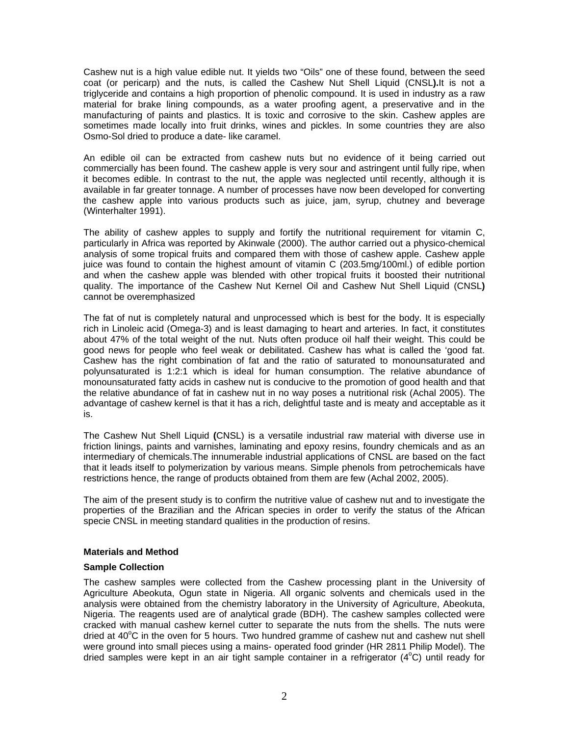Cashew nut is a high value edible nut. It yields two "Oils" one of these found, between the seed coat (or pericarp) and the nuts, is called the Cashew Nut Shell Liquid (CNSL**).**It is not a triglyceride and contains a high proportion of phenolic compound. It is used in industry as a raw material for brake lining compounds, as a water proofing agent, a preservative and in the manufacturing of paints and plastics. It is toxic and corrosive to the skin. Cashew apples are sometimes made locally into fruit drinks, wines and pickles. In some countries they are also Osmo-Sol dried to produce a date- like caramel.

An edible oil can be extracted from cashew nuts but no evidence of it being carried out commercially has been found. The cashew apple is very sour and astringent until fully ripe, when it becomes edible. In contrast to the nut, the apple was neglected until recently, although it is available in far greater tonnage. A number of processes have now been developed for converting the cashew apple into various products such as juice, jam, syrup, chutney and beverage (Winterhalter 1991).

The ability of cashew apples to supply and fortify the nutritional requirement for vitamin C, particularly in Africa was reported by Akinwale (2000). The author carried out a physico-chemical analysis of some tropical fruits and compared them with those of cashew apple. Cashew apple juice was found to contain the highest amount of vitamin C (203.5mg/100ml.) of edible portion and when the cashew apple was blended with other tropical fruits it boosted their nutritional quality. The importance of the Cashew Nut Kernel Oil and Cashew Nut Shell Liquid (CNSL**)** cannot be overemphasized

The fat of nut is completely natural and unprocessed which is best for the body. It is especially rich in Linoleic acid (Omega-3) and is least damaging to heart and arteries. In fact, it constitutes about 47% of the total weight of the nut. Nuts often produce oil half their weight. This could be good news for people who feel weak or debilitated. Cashew has what is called the 'good fat. Cashew has the right combination of fat and the ratio of saturated to monounsaturated and polyunsaturated is 1:2:1 which is ideal for human consumption. The relative abundance of monounsaturated fatty acids in cashew nut is conducive to the promotion of good health and that the relative abundance of fat in cashew nut in no way poses a nutritional risk (Achal 2005). The advantage of cashew kernel is that it has a rich, delightful taste and is meaty and acceptable as it is.

The Cashew Nut Shell Liquid **(**CNSL) is a versatile industrial raw material with diverse use in friction linings, paints and varnishes, laminating and epoxy resins, foundry chemicals and as an intermediary of chemicals.The innumerable industrial applications of CNSL are based on the fact that it leads itself to polymerization by various means. Simple phenols from petrochemicals have restrictions hence, the range of products obtained from them are few (Achal 2002, 2005).

The aim of the present study is to confirm the nutritive value of cashew nut and to investigate the properties of the Brazilian and the African species in order to verify the status of the African specie CNSL in meeting standard qualities in the production of resins.

### **Materials and Method**

### **Sample Collection**

The cashew samples were collected from the Cashew processing plant in the University of Agriculture Abeokuta, Ogun state in Nigeria. All organic solvents and chemicals used in the analysis were obtained from the chemistry laboratory in the University of Agriculture, Abeokuta, Nigeria. The reagents used are of analytical grade (BDH). The cashew samples collected were cracked with manual cashew kernel cutter to separate the nuts from the shells. The nuts were dried at 40°C in the oven for 5 hours. Two hundred gramme of cashew nut and cashew nut shell were ground into small pieces using a mains- operated food grinder (HR 2811 Philip Model). The dried samples were kept in an air tight sample container in a refrigerator  $(4^{\circ}C)$  until ready for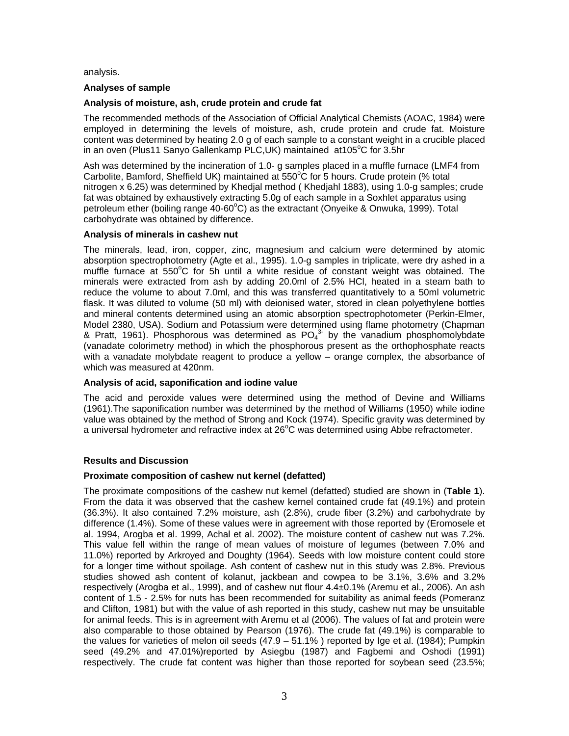analysis.

## **Analyses of sample**

# **Analysis of moisture, ash, crude protein and crude fat**

The recommended methods of the Association of Official Analytical Chemists (AOAC, 1984) were employed in determining the levels of moisture, ash, crude protein and crude fat. Moisture content was determined by heating 2.0 g of each sample to a constant weight in a crucible placed in an oven (Plus11 Sanyo Gallenkamp PLC,UK) maintained at105°C for 3.5hr

Ash was determined by the incineration of 1.0- g samples placed in a muffle furnace (LMF4 from Carbolite, Bamford, Sheffield UK) maintained at 550°C for 5 hours. Crude protein (% total nitrogen x 6.25) was determined by Khedjal method ( Khedjahl 1883), using 1.0-g samples; crude fat was obtained by exhaustively extracting 5.0g of each sample in a Soxhlet apparatus using petroleum ether (boiling range 40-60°C) as the extractant (Onyeike & Onwuka, 1999). Total carbohydrate was obtained by difference.

## **Analysis of minerals in cashew nut**

The minerals, lead, iron, copper, zinc, magnesium and calcium were determined by atomic absorption spectrophotometry (Agte et al., 1995). 1.0-g samples in triplicate, were dry ashed in a muffle furnace at 550°C for 5h until a white residue of constant weight was obtained. The minerals were extracted from ash by adding 20.0ml of 2.5% HCl, heated in a steam bath to reduce the volume to about 7.0ml, and this was transferred quantitatively to a 50ml volumetric flask. It was diluted to volume (50 ml) with deionised water, stored in clean polyethylene bottles and mineral contents determined using an atomic absorption spectrophotometer (Perkin-Elmer, Model 2380, USA). Sodium and Potassium were determined using flame photometry (Chapman & Pratt, 1961). Phosphorous was determined as  $PO_4^{3}$  by the vanadium phosphomolybdate (vanadate colorimetry method) in which the phosphorous present as the orthophosphate reacts with a vanadate molybdate reagent to produce a yellow – orange complex, the absorbance of which was measured at 420nm.

### **Analysis of acid, saponification and iodine value**

The acid and peroxide values were determined using the method of Devine and Williams (1961).The saponification number was determined by the method of Williams (1950) while iodine value was obtained by the method of Strong and Kock (1974). Specific gravity was determined by a universal hydrometer and refractive index at 26°C was determined using Abbe refractometer.

### **Results and Discussion**

### **Proximate composition of cashew nut kernel (defatted)**

The proximate compositions of the cashew nut kernel (defatted) studied are shown in (**Table 1**). From the data it was observed that the cashew kernel contained crude fat (49.1%) and protein (36.3%). It also contained 7.2% moisture, ash (2.8%), crude fiber (3.2%) and carbohydrate by difference (1.4%). Some of these values were in agreement with those reported by (Eromosele et al. 1994, Arogba et al. 1999, Achal et al. 2002). The moisture content of cashew nut was 7.2%. This value fell within the range of mean values of moisture of legumes (between 7.0% and 11.0%) reported by Arkroyed and Doughty (1964). Seeds with low moisture content could store for a longer time without spoilage. Ash content of cashew nut in this study was 2.8%. Previous studies showed ash content of kolanut, jackbean and cowpea to be 3.1%, 3.6% and 3.2% respectively (Arogba et al., 1999), and of cashew nut flour 4.4±0.1% (Aremu et al., 2006). An ash content of 1.5 - 2.5% for nuts has been recommended for suitability as animal feeds (Pomeranz and Clifton, 1981) but with the value of ash reported in this study, cashew nut may be unsuitable for animal feeds. This is in agreement with Aremu et al (2006). The values of fat and protein were also comparable to those obtained by Pearson (1976). The crude fat (49.1%) is comparable to the values for varieties of melon oil seeds (47.9 – 51.1% ) reported by Ige et al. (1984); Pumpkin seed (49.2% and 47.01%)reported by Asiegbu (1987) and Fagbemi and Oshodi (1991) respectively. The crude fat content was higher than those reported for soybean seed (23.5%;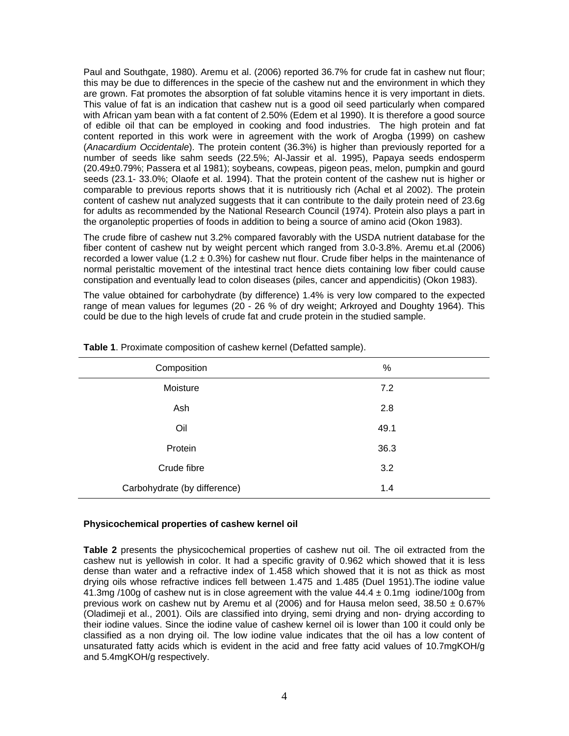Paul and Southgate, 1980). Aremu et al. (2006) reported 36.7% for crude fat in cashew nut flour; this may be due to differences in the specie of the cashew nut and the environment in which they are grown. Fat promotes the absorption of fat soluble vitamins hence it is very important in diets. This value of fat is an indication that cashew nut is a good oil seed particularly when compared with African yam bean with a fat content of 2.50% (Edem et al 1990). It is therefore a good source of edible oil that can be employed in cooking and food industries. The high protein and fat content reported in this work were in agreement with the work of Arogba (1999) on cashew (*Anacardium Occidentale*). The protein content (36.3%) is higher than previously reported for a number of seeds like sahm seeds (22.5%; Al-Jassir et al. 1995), Papaya seeds endosperm (20.49±0.79%; Passera et al 1981); soybeans, cowpeas, pigeon peas, melon, pumpkin and gourd seeds (23.1- 33.0%; Olaofe et al. 1994). That the protein content of the cashew nut is higher or comparable to previous reports shows that it is nutritiously rich (Achal et al 2002). The protein content of cashew nut analyzed suggests that it can contribute to the daily protein need of 23.6g for adults as recommended by the National Research Council (1974). Protein also plays a part in the organoleptic properties of foods in addition to being a source of amino acid (Okon 1983).

The crude fibre of cashew nut 3.2% compared favorably with the USDA nutrient database for the fiber content of cashew nut by weight percent which ranged from 3.0-3.8%. Aremu et.al (2006) recorded a lower value  $(1.2 \pm 0.3\%)$  for cashew nut flour. Crude fiber helps in the maintenance of normal peristaltic movement of the intestinal tract hence diets containing low fiber could cause constipation and eventually lead to colon diseases (piles, cancer and appendicitis) (Okon 1983).

The value obtained for carbohydrate (by difference) 1.4% is very low compared to the expected range of mean values for legumes (20 - 26 % of dry weight; Arkroyed and Doughty 1964). This could be due to the high levels of crude fat and crude protein in the studied sample.

| Composition                  | $\%$ |
|------------------------------|------|
| Moisture                     | 7.2  |
| Ash                          | 2.8  |
| Oil                          | 49.1 |
| Protein                      | 36.3 |
| Crude fibre                  | 3.2  |
| Carbohydrate (by difference) | 1.4  |

**Table 1**. Proximate composition of cashew kernel (Defatted sample).

### **Physicochemical properties of cashew kernel oil**

**Table 2** presents the physicochemical properties of cashew nut oil. The oil extracted from the cashew nut is yellowish in color. It had a specific gravity of 0.962 which showed that it is less dense than water and a refractive index of 1.458 which showed that it is not as thick as most drying oils whose refractive indices fell between 1.475 and 1.485 (Duel 1951).The iodine value 41.3mg /100g of cashew nut is in close agreement with the value  $44.4 \pm 0.1$ mg iodine/100g from previous work on cashew nut by Aremu et al (2006) and for Hausa melon seed,  $38.50 \pm 0.67\%$ (Oladimeji et al., 2001). Oils are classified into drying, semi drying and non- drying according to their iodine values. Since the iodine value of cashew kernel oil is lower than 100 it could only be classified as a non drying oil. The low iodine value indicates that the oil has a low content of unsaturated fatty acids which is evident in the acid and free fatty acid values of 10.7mgKOH/g and 5.4mgKOH/g respectively.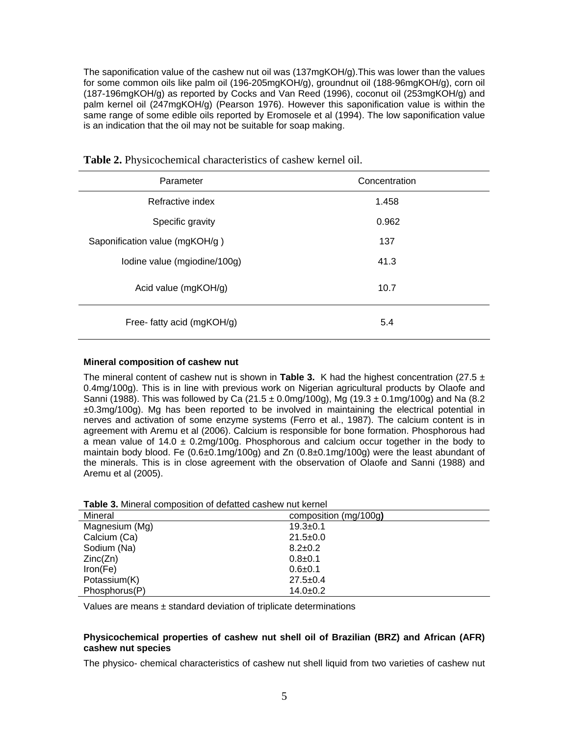The saponification value of the cashew nut oil was (137mgKOH/g).This was lower than the values for some common oils like palm oil (196-205mgKOH/g), groundnut oil (188-96mgKOH/g), corn oil (187-196mgKOH/g) as reported by Cocks and Van Reed (1996), coconut oil (253mgKOH/g) and palm kernel oil (247mgKOH/g) (Pearson 1976). However this saponification value is within the same range of some edible oils reported by Eromosele et al (1994). The low saponification value is an indication that the oil may not be suitable for soap making.

| Parameter                      | Concentration |
|--------------------------------|---------------|
| Refractive index               | 1.458         |
| Specific gravity               | 0.962         |
| Saponification value (mgKOH/g) | 137           |
| Iodine value (mgiodine/100g)   | 41.3          |
| Acid value (mgKOH/g)           | 10.7          |
| Free- fatty acid (mgKOH/g)     | 5.4           |

**Table 2.** Physicochemical characteristics of cashew kernel oil.

### **Mineral composition of cashew nut**

The mineral content of cashew nut is shown in **Table 3.** K had the highest concentration (27.5  $\pm$ 0.4mg/100g). This is in line with previous work on Nigerian agricultural products by Olaofe and Sanni (1988). This was followed by Ca (21.5  $\pm$  0.0mg/100g), Mg (19.3  $\pm$  0.1mg/100g) and Na (8.2  $\pm 0.3$ mg/100g). Mg has been reported to be involved in maintaining the electrical potential in nerves and activation of some enzyme systems (Ferro et al., 1987). The calcium content is in agreement with Aremu et al (2006). Calcium is responsible for bone formation. Phosphorous had a mean value of  $14.0 \pm 0.2$ mg/100g. Phosphorous and calcium occur together in the body to maintain body blood. Fe (0.6±0.1mg/100g) and Zn (0.8±0.1mg/100g) were the least abundant of the minerals. This is in close agreement with the observation of Olaofe and Sanni (1988) and Aremu et al (2005).

| <b>Table 3.</b> Millielal composition of detailed cashew hul kemer |                       |
|--------------------------------------------------------------------|-----------------------|
| Mineral                                                            | composition (mg/100g) |
| Magnesium (Mg)                                                     | $19.3 + 0.1$          |
| Calcium (Ca)                                                       | $21.5 \pm 0.0$        |
| Sodium (Na)                                                        | $8.2 \pm 0.2$         |
| Zinc(Zn)                                                           | $0.8 + 0.1$           |
| Iron(Fe)                                                           | $0.6 + 0.1$           |
| Potassium(K)                                                       | $27.5 \pm 0.4$        |
| Phosphorus(P)                                                      | $14.0+0.2$            |

**Table 3.** Mineral composition of defatted cashew nut kernel

Values are means  $\pm$  standard deviation of triplicate determinations

## **Physicochemical properties of cashew nut shell oil of Brazilian (BRZ) and African (AFR) cashew nut species**

The physico- chemical characteristics of cashew nut shell liquid from two varieties of cashew nut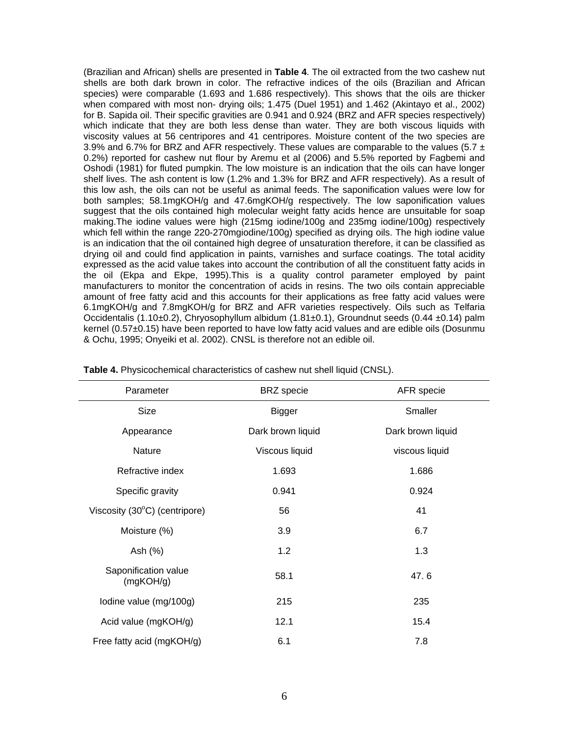(Brazilian and African) shells are presented in **Table 4**. The oil extracted from the two cashew nut shells are both dark brown in color. The refractive indices of the oils (Brazilian and African species) were comparable (1.693 and 1.686 respectively). This shows that the oils are thicker when compared with most non- drying oils; 1.475 (Duel 1951) and 1.462 (Akintayo et al., 2002) for B. Sapida oil. Their specific gravities are 0.941 and 0.924 (BRZ and AFR species respectively) which indicate that they are both less dense than water. They are both viscous liquids with viscosity values at 56 centripores and 41 centripores. Moisture content of the two species are 3.9% and 6.7% for BRZ and AFR respectively. These values are comparable to the values (5.7  $\pm$ 0.2%) reported for cashew nut flour by Aremu et al (2006) and 5.5% reported by Fagbemi and Oshodi (1981) for fluted pumpkin. The low moisture is an indication that the oils can have longer shelf lives. The ash content is low (1.2% and 1.3% for BRZ and AFR respectively). As a result of this low ash, the oils can not be useful as animal feeds. The saponification values were low for both samples; 58.1mgKOH/g and 47.6mgKOH/g respectively. The low saponification values suggest that the oils contained high molecular weight fatty acids hence are unsuitable for soap making.The iodine values were high (215mg iodine/100g and 235mg iodine/100g) respectively which fell within the range 220-270mgiodine/100g) specified as drying oils. The high iodine value is an indication that the oil contained high degree of unsaturation therefore, it can be classified as drying oil and could find application in paints, varnishes and surface coatings. The total acidity expressed as the acid value takes into account the contribution of all the constituent fatty acids in the oil (Ekpa and Ekpe, 1995).This is a quality control parameter employed by paint manufacturers to monitor the concentration of acids in resins. The two oils contain appreciable amount of free fatty acid and this accounts for their applications as free fatty acid values were 6.1mgKOH/g and 7.8mgKOH/g for BRZ and AFR varieties respectively. Oils such as Telfaria Occidentalis (1.10±0.2), Chryosophyllum albidum (1.81±0.1), Groundnut seeds (0.44 ±0.14) palm kernel (0.57±0.15) have been reported to have low fatty acid values and are edible oils (Dosunmu & Ochu, 1995; Onyeiki et al. 2002). CNSL is therefore not an edible oil.

| Parameter                         | <b>BRZ</b> specie | AFR specie        |
|-----------------------------------|-------------------|-------------------|
| Size                              | <b>Bigger</b>     | Smaller           |
| Appearance                        | Dark brown liquid | Dark brown liquid |
| Nature                            | Viscous liquid    | viscous liquid    |
| Refractive index                  | 1.693             | 1.686             |
| Specific gravity                  | 0.941             | 0.924             |
| Viscosity (30°C) (centripore)     | 56                | 41                |
| Moisture (%)                      | 3.9               | 6.7               |
| Ash (%)                           | 1.2               | 1.3               |
| Saponification value<br>(mgKOH/g) | 58.1              | 47.6              |
| Iodine value (mg/100g)            | 215               | 235               |
| Acid value (mgKOH/g)              | 12.1              | 15.4              |
| Free fatty acid (mgKOH/g)         | 6.1               | 7.8               |

**Table 4.** Physicochemical characteristics of cashew nut shell liquid (CNSL).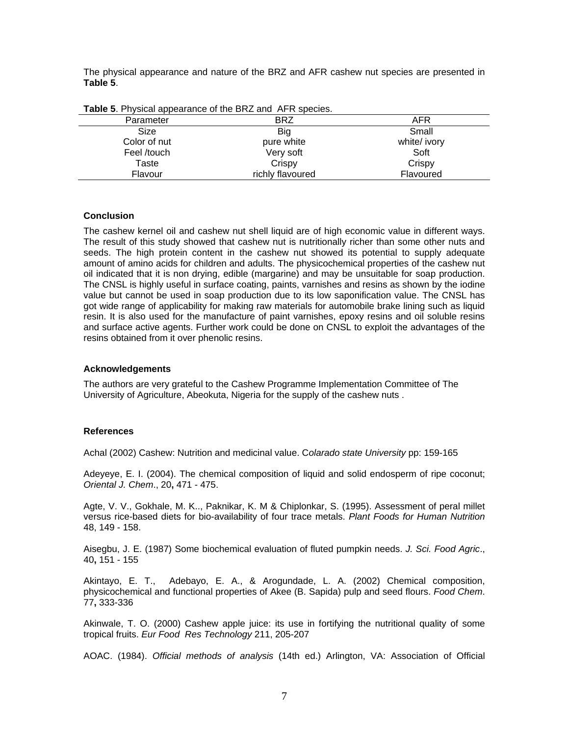The physical appearance and nature of the BRZ and AFR cashew nut species are presented in **Table 5**.

| <b>Table 5.</b> Privsical appearance of the BRZ and AFR species. |                  |              |
|------------------------------------------------------------------|------------------|--------------|
| Parameter                                                        | <b>BRZ</b>       | AFR          |
| Size                                                             | Big              | Small        |
| Color of nut                                                     | pure white       | white/ ivory |
| Feel /touch                                                      | Very soft        | Soft         |
| Taste                                                            | Crispy           | Crispy       |
| Flavour                                                          | richly flavoured | Flavoured    |

| Table 5. Physical appearance of the BRZ and AFR species. |
|----------------------------------------------------------|
|----------------------------------------------------------|

#### **Conclusion**

The cashew kernel oil and cashew nut shell liquid are of high economic value in different ways. The result of this study showed that cashew nut is nutritionally richer than some other nuts and seeds. The high protein content in the cashew nut showed its potential to supply adequate amount of amino acids for children and adults. The physicochemical properties of the cashew nut oil indicated that it is non drying, edible (margarine) and may be unsuitable for soap production. The CNSL is highly useful in surface coating, paints, varnishes and resins as shown by the iodine value but cannot be used in soap production due to its low saponification value. The CNSL has got wide range of applicability for making raw materials for automobile brake lining such as liquid resin. It is also used for the manufacture of paint varnishes, epoxy resins and oil soluble resins and surface active agents. Further work could be done on CNSL to exploit the advantages of the resins obtained from it over phenolic resins.

#### **Acknowledgements**

The authors are very grateful to the Cashew Programme Implementation Committee of The University of Agriculture, Abeokuta, Nigeria for the supply of the cashew nuts .

### **References**

Achal (2002) Cashew: Nutrition and medicinal value. C*olarado state University* pp: 159-165

Adeyeye, E. I. (2004). The chemical composition of liquid and solid endosperm of ripe coconut; *Oriental J. Chem*., 20**,** 471 - 475.

Agte, V. V., Gokhale, M. K.., Paknikar, K. M & Chiplonkar, S. (1995). Assessment of peral millet versus rice-based diets for bio-availability of four trace metals. *Plant Foods for Human Nutrition* 48, 149 - 158.

Aisegbu, J. E. (1987) Some biochemical evaluation of fluted pumpkin needs. *J. Sci. Food Agric*., 40**,** 151 - 155

Akintayo, E. T., Adebayo, E. A., & Arogundade, L. A. (2002) Chemical composition, physicochemical and functional properties of Akee (B. Sapida) pulp and seed flours. *Food Chem*. 77**,** 333-336

Akinwale, T. O. (2000) Cashew apple juice: its use in fortifying the nutritional quality of some tropical fruits. *Eur Food Res Technology* 211, 205-207

AOAC. (1984). *Official methods of analysis* (14th ed.) Arlington, VA: Association of Official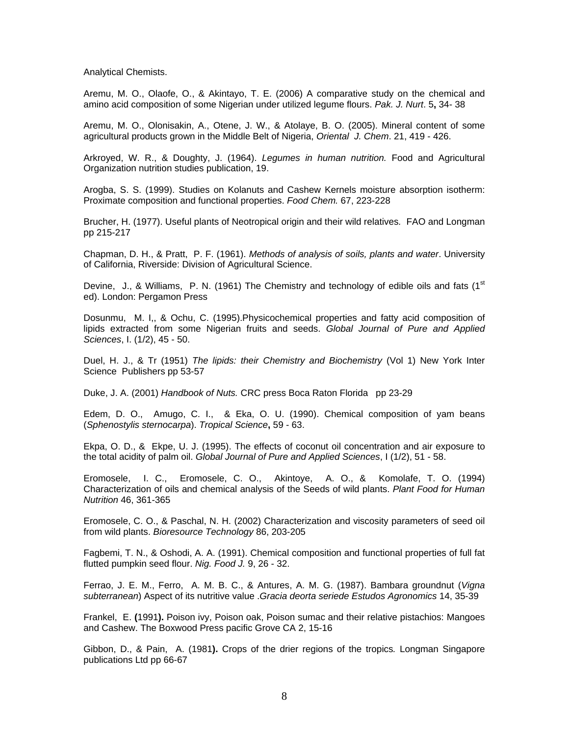Analytical Chemists.

Aremu, M. O., Olaofe, O., & Akintayo, T. E. (2006) A comparative study on the chemical and amino acid composition of some Nigerian under utilized legume flours. *Pak. J. Nurt*. 5**,** 34- 38

Aremu, M. O., Olonisakin, A., Otene, J. W., & Atolaye, B. O. (2005). Mineral content of some agricultural products grown in the Middle Belt of Nigeria, *Oriental J. Chem*. 21, 419 - 426.

Arkroyed, W. R., & Doughty, J. (1964). *Legumes in human nutrition.* Food and Agricultural Organization nutrition studies publication, 19.

Arogba, S. S. (1999). Studies on Kolanuts and Cashew Kernels moisture absorption isotherm: Proximate composition and functional properties. *Food Chem.* 67, 223-228

Brucher, H. (1977). Useful plants of Neotropical origin and their wild relatives*.* FAO and Longman pp 215-217

Chapman, D. H., & Pratt, P. F. (1961). *Methods of analysis of soils, plants and water*. University of California, Riverside: Division of Agricultural Science.

Devine, J., & Williams, P. N. (1961) The Chemistry and technology of edible oils and fats (1st ed). London: Pergamon Press

Dosunmu, M. I,, & Ochu, C. (1995).Physicochemical properties and fatty acid composition of lipids extracted from some Nigerian fruits and seeds. *Global Journal of Pure and Applied Sciences*, I. (1/2), 45 - 50.

Duel, H. J., & Tr (1951) *The lipids: their Chemistry and Biochemistry* (Vol 1) New York Inter Science Publishers pp 53-57

Duke, J. A. (2001) *Handbook of Nuts.* CRC press Boca Raton Florida pp 23-29

Edem, D. O., Amugo, C. I., & Eka, O. U. (1990). Chemical composition of yam beans (*Sphenostylis sternocarpa*). *Tropical Science***,** 59 - 63.

Ekpa, O. D., & Ekpe, U. J. (1995). The effects of coconut oil concentration and air exposure to the total acidity of palm oil. *Global Journal of Pure and Applied Sciences*, I (1/2), 51 - 58.

Eromosele, I. C., Eromosele, C. O., Akintoye, A. O., & Komolafe, T. O. (1994) Characterization of oils and chemical analysis of the Seeds of wild plants. *Plant Food for Human Nutrition* 46, 361-365

Eromosele, C. O., & Paschal, N. H. (2002) Characterization and viscosity parameters of seed oil from wild plants. *Bioresource Technology* 86, 203-205

Fagbemi, T. N., & Oshodi, A. A. (1991). Chemical composition and functional properties of full fat flutted pumpkin seed flour. *Nig. Food J.* 9, 26 - 32.

Ferrao, J. E. M., Ferro, A. M. B. C., & Antures, A. M. G. (1987). Bambara groundnut (*Vigna subterranean*) Aspect of its nutritive value .*Gracia deorta seriede Estudos Agronomics* 14, 35-39

Frankel, E. **(**1991**).** Poison ivy, Poison oak, Poison sumac and their relative pistachios: Mangoes and Cashew. The Boxwood Press pacific Grove CA 2, 15-16

Gibbon, D., & Pain, A. (1981**).** Crops of the drier regions of the tropics*.* Longman Singapore publications Ltd pp 66-67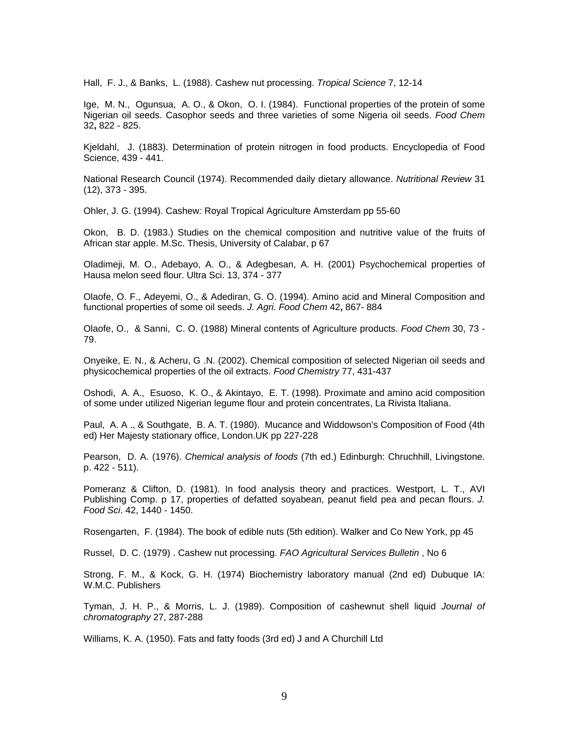Hall, F. J., & Banks, L. (1988). Cashew nut processing. *Tropical Science* 7, 12-14

Ige, M. N., Ogunsua, A. O., & Okon, O. I. (1984). Functional properties of the protein of some Nigerian oil seeds. Casophor seeds and three varieties of some Nigeria oil seeds. *Food Chem* 32**,** 822 - 825.

Kjeldahl, J. (1883). Determination of protein nitrogen in food products. Encyclopedia of Food Science, 439 - 441.

National Research Council (1974). Recommended daily dietary allowance. *Nutritional Review* 31 (12), 373 - 395.

Ohler, J. G. (1994). Cashew*:* Royal Tropical Agriculture Amsterdam pp 55-60

Okon, B. D. (1983.) Studies on the chemical composition and nutritive value of the fruits of African star apple. M.Sc. Thesis, University of Calabar, p 67

Oladimeji, M. O., Adebayo, A. O., & Adegbesan, A. H. (2001) Psychochemical properties of Hausa melon seed flour. Ultra Sci. 13, 374 - 377

Olaofe, O. F., Adeyemi, O., & Adediran, G. O. (1994). Amino acid and Mineral Composition and functional properties of some oil seeds. *J. Agri. Food Chem* 42**,** 867- 884

Olaofe, O., & Sanni, C. O. (1988) Mineral contents of Agriculture products. *Food Chem* 30, 73 - 79.

Onyeike, E. N., & Acheru, G .N. (2002). Chemical composition of selected Nigerian oil seeds and physicochemical properties of the oil extracts. *Food Chemistry* 77, 431-437

Oshodi, A. A., Esuoso, K. O., & Akintayo, E. T. (1998). Proximate and amino acid composition of some under utilized Nigerian legume flour and protein concentrates, La Rivista Italiana.

Paul, A. A ., & Southgate, B. A. T. (1980). Mucance and Widdowson's Composition of Food (4th ed) Her Majesty stationary office, London.UK pp 227-228

Pearson, D. A. (1976). *Chemical analysis of foods* (7th ed.) Edinburgh: Chruchhill, Livingstone. p. 422 - 511).

Pomeranz & Clifton, D. (1981). In food analysis theory and practices. Westport, L. T., AVI Publishing Comp. p 17, properties of defatted soyabean, peanut field pea and pecan flours. *J. Food Sci*. 42, 1440 - 1450.

Rosengarten, F. (1984). The book of edible nuts (5th edition). Walker and Co New York, pp 45

Russel, D. C. (1979) . Cashew nut processing. *FAO Agricultural Services Bulletin* , No 6

Strong, F. M., & Kock, G. H. (1974) Biochemistry laboratory manual (2nd ed) Dubuque IA: W.M.C. Publishers

Tyman, J. H. P., & Morris, L. J. (1989). Composition of cashewnut shell liquid *Journal of chromatography* 27, 287-288

Williams, K. A. (1950). Fats and fatty foods (3rd ed) J and A Churchill Ltd